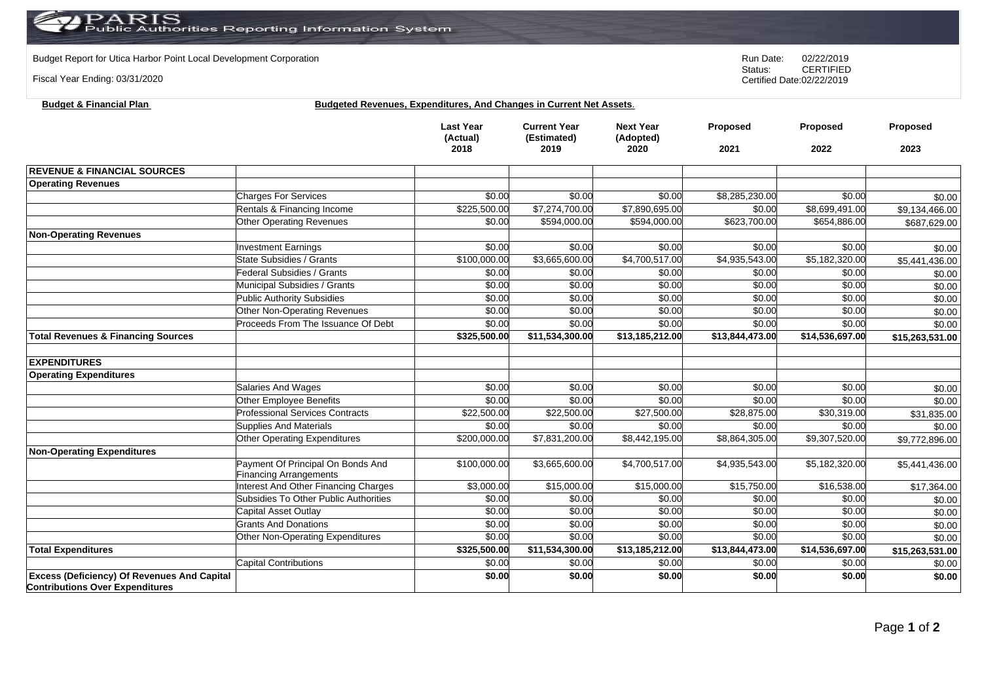## PARIS<br>Public Authorities Reporting Information System

**Budget & Financial Plan Budgeted Revenues, Expenditures, And Changes in Current Net Assets.** 

Budget Report for Utica Harbor Point Local Development Corporation **Run Date:** 02/22/2019<br>Status: CERTIFIED

Fiscal Year Ending: 03/31/2020

**Contributions Over Expenditures**

CERTIFIED Certified Date:02/22/2019

|                                                    |                                                                    | <b>Last Year</b><br>(Actual)<br>2018 | <b>Current Year</b><br>(Estimated)<br>2019 | <b>Next Year</b><br>(Adopted)<br>2020 | Proposed<br>2021 | Proposed<br>2022           | Proposed<br>2023 |
|----------------------------------------------------|--------------------------------------------------------------------|--------------------------------------|--------------------------------------------|---------------------------------------|------------------|----------------------------|------------------|
| <b>REVENUE &amp; FINANCIAL SOURCES</b>             |                                                                    |                                      |                                            |                                       |                  |                            |                  |
| <b>Operating Revenues</b>                          |                                                                    |                                      |                                            |                                       |                  |                            |                  |
|                                                    | <b>Charges For Services</b>                                        | \$0.00                               | \$0.00                                     | \$0.00                                | \$8,285,230.00   | \$0.00                     | \$0.00           |
|                                                    | Rentals & Financing Income                                         | \$225,500.00                         | \$7,274,700.00                             | \$7,890,695.00                        | \$0.00           | \$8,699,491.00             | \$9,134,466.00   |
|                                                    | <b>Other Operating Revenues</b>                                    | \$0.00                               | \$594,000.00                               | \$594,000.00                          | \$623,700.00     | \$654,886.00               | \$687,629.00     |
| <b>Non-Operating Revenues</b>                      |                                                                    |                                      |                                            |                                       |                  |                            |                  |
|                                                    | <b>Investment Earnings</b>                                         | \$0.00                               | \$0.00                                     | \$0.00                                | \$0.00           | \$0.00                     | \$0.00           |
|                                                    | State Subsidies / Grants                                           | \$100,000.00                         | \$3,665,600.00                             | \$4,700,517.00                        | \$4,935,543.00   | \$5,182,320.00             | \$5,441,436.00   |
|                                                    | Federal Subsidies / Grants                                         | \$0.00                               | \$0.00                                     | \$0.00                                | \$0.00           | \$0.00                     | \$0.00           |
|                                                    | Municipal Subsidies / Grants                                       | \$0.00                               | \$0.00                                     | \$0.00                                | \$0.00           | \$0.00                     | \$0.00           |
|                                                    | <b>Public Authority Subsidies</b>                                  | \$0.00                               | \$0.00                                     | \$0.00                                | \$0.00           | \$0.00                     | \$0.00           |
|                                                    | Other Non-Operating Revenues                                       | \$0.00                               | \$0.00                                     | \$0.00                                | \$0.00           | \$0.00                     | \$0.00           |
|                                                    | Proceeds From The Issuance Of Debt                                 | \$0.00                               | \$0.00                                     | \$0.00                                | \$0.00           | \$0.00                     | \$0.00           |
| <b>Total Revenues &amp; Financing Sources</b>      |                                                                    | \$325,500.00                         | \$11,534,300.00                            | \$13,185,212.00                       | \$13,844,473.00  | \$14,536,697.00            | \$15,263,531.00  |
|                                                    |                                                                    |                                      |                                            |                                       |                  |                            |                  |
| <b>EXPENDITURES</b>                                |                                                                    |                                      |                                            |                                       |                  |                            |                  |
| <b>Operating Expenditures</b>                      |                                                                    |                                      |                                            |                                       |                  |                            |                  |
|                                                    | <b>Salaries And Wages</b>                                          | \$0.00                               | \$0.00                                     | \$0.00                                | \$0.00           | \$0.00                     | \$0.00           |
|                                                    | Other Employee Benefits                                            | \$0.00                               | \$0.00                                     | \$0.00                                | \$0.00           | \$0.00                     | \$0.00           |
|                                                    | <b>Professional Services Contracts</b>                             | \$22,500.00                          | \$22,500.00                                | \$27,500.00                           | \$28,875.00      | \$30,319.00                | \$31,835.00      |
|                                                    | <b>Supplies And Materials</b>                                      | \$0.00                               | \$0.00                                     | \$0.00                                | \$0.00           | \$0.00                     | \$0.00           |
|                                                    | Other Operating Expenditures                                       | \$200,000.00                         | \$7,831,200.00                             | \$8,442,195.00                        | \$8,864,305.00   | \$9,307,520.00             | \$9,772,896.00   |
| <b>Non-Operating Expenditures</b>                  |                                                                    |                                      |                                            |                                       |                  |                            |                  |
|                                                    | Payment Of Principal On Bonds And<br><b>Financing Arrangements</b> | \$100,000.00                         | \$3,665,600.00                             | \$4,700,517.00                        | \$4,935,543.00   | $\overline{$5,182,320.00}$ | \$5,441,436.00   |
|                                                    | Interest And Other Financing Charges                               | \$3,000.00                           | \$15,000.00                                | \$15,000.00                           | \$15,750.00      | \$16,538.00                | \$17,364.00      |
|                                                    | Subsidies To Other Public Authorities                              | \$0.00                               | \$0.00                                     | \$0.00                                | \$0.00           | \$0.00                     | \$0.00           |
|                                                    | Capital Asset Outlay                                               | \$0.00                               | \$0.00                                     | \$0.00                                | \$0.00           | \$0.00                     | \$0.00           |
|                                                    | <b>Grants And Donations</b>                                        | \$0.00                               | \$0.00                                     | \$0.00                                | \$0.00           | \$0.00                     | \$0.00           |
|                                                    | Other Non-Operating Expenditures                                   | \$0.00                               | \$0.00                                     | \$0.00                                | \$0.00           | \$0.00                     | \$0.00           |
| <b>Total Expenditures</b>                          |                                                                    | \$325,500.00                         | \$11,534,300.00                            | \$13,185,212.00                       | \$13,844,473.00  | \$14,536,697.00            | \$15,263,531.00  |
|                                                    | <b>Capital Contributions</b>                                       | \$0.00                               | \$0.00                                     | \$0.00                                | \$0.00           | \$0.00                     | \$0.00           |
| <b>Excess (Deficiency) Of Revenues And Capital</b> |                                                                    | \$0.00                               | \$0.00                                     | \$0.00                                | \$0.00           | \$0.00                     | \$0.00           |